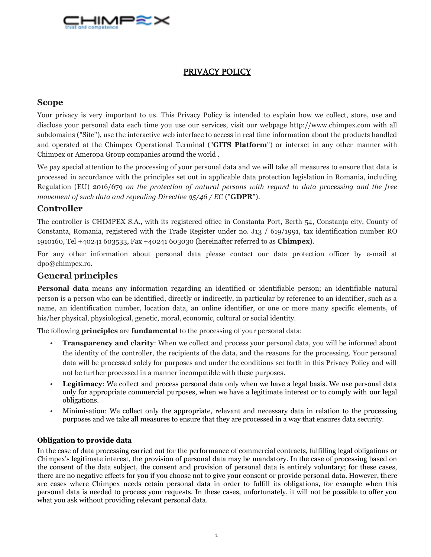

# PRIVACY POLICY

# **Scope**

Your privacy is very important to us. This Privacy Policy is intended to explain how we collect, store, use and disclose your personal data each time you use our services, visit our webpage http://www.chimpex.com with all subdomains ("Site"), use the interactive web interface to access in real time information about the products handled and operated at the Chimpex Operational Terminal ("**GITS Platform**") or interact in any other manner with Chimpex or Ameropa Group companies around the world .

We pay special attention to the processing of your personal data and we will take all measures to ensure that data is processed in accordance with the principles set out in applicable data protection legislation in Romania, including Regulation (EU) 2016/679 *on the protection of natural persons with regard to data processing and the free movement of such data and repealing Directive 95/46 / EC* ("**GDPR**").

# **Controller**

The controller is CHIMPEX S.A., with its registered office in Constanta Port, Berth 54, Constanta city, County of Constanta, Romania, registered with the Trade Register under no. J13 / 619/1991, tax identification number RO 1910160, Tel +40241 603533, Fax +40241 603030 (hereinafter referred to as **Chimpex**).

For any other information about personal data please contact our data protection officer by e-mail at dpo@chimpex.ro.

# **General principles**

**Personal data** means any information regarding an identified or identifiable person; an identifiable natural person is a person who can be identified, directly or indirectly, in particular by reference to an identifier, such as a name, an identification number, location data, an online identifier, or one or more many specific elements, of his/her physical, physiological, genetic, moral, economic, cultural or social identity.

The following **principles** are **fundamental** to the processing of your personal data:

- **Transparency and clarity**: When we collect and process your personal data, you will be informed about the identity of the controller, the recipients of the data, and the reasons for the processing. Your personal data will be processed solely for purposes and under the conditions set forth in this Privacy Policy and will not be further processed in a manner incompatible with these purposes.
- Legitimacy: We collect and process personal data only when we have a legal basis. We use personal data only for appropriate commercial purposes, when we have a legitimate interest or to comply with our legal obligations.
- Minimisation: We collect only the appropriate, relevant and necessary data in relation to the processing purposes and we take all measures to ensure that they are processed in a way that ensures data security.

## **Obligation to provide data**

In the case of data processing carried out for the performance of commercial contracts, fulfilling legal obligations or Chimpex's legitimate interest, the provision of personal data may be mandatory. In the case of processing based on the consent of the data subject, the consent and provision of personal data is entirely voluntary; for these cases, there are no negative effects for you if you choose not to give your consent or provide personal data. However, there are cases where Chimpex needs cetain personal data in order to fulfill its obligations, for example when this personal data is needed to process your requests. In these cases, unfortunately, it will not be possible to offer you what you ask without providing relevant personal data.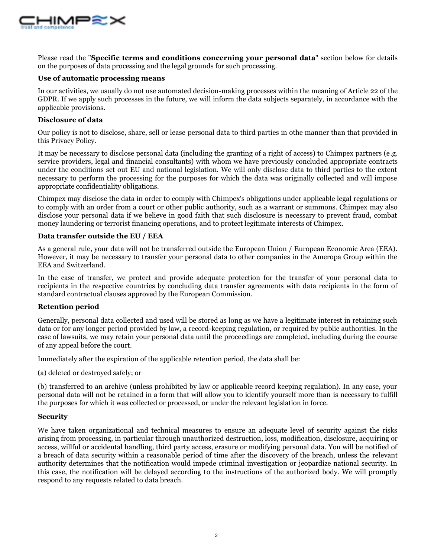

Please read the "**Specific terms and conditions concerning your personal data**" section below for details on the purposes of data processing and the legal grounds for such processing.

### **Use of automatic processing means**

In our activities, we usually do not use automated decision-making processes within the meaning of Article 22 of the GDPR. If we apply such processes in the future, we will inform the data subjects separately, in accordance with the applicable provisions.

## **Disclosure of data**

Our policy is not to disclose, share, sell or lease personal data to third parties in othe manner than that provided in this Privacy Policy.

It may be necessary to disclose personal data (including the granting of a right of access) to Chimpex partners (e.g. service providers, legal and financial consultants) with whom we have previously concluded appropriate contracts under the conditions set out EU and national legislation. We will only disclose data to third parties to the extent necessary to perform the processing for the purposes for which the data was originally collected and will impose appropriate confidentiality obligations.

Chimpex may disclose the data in order to comply with Chimpex's obligations under applicable legal regulations or to comply with an order from a court or other public authority, such as a warrant or summons. Chimpex may also disclose your personal data if we believe in good faith that such disclosure is necessary to prevent fraud, combat money laundering or terrorist financing operations, and to protect legitimate interests of Chimpex.

## **Data transfer outside the EU / EEA**

As a general rule, your data will not be transferred outside the European Union / European Economic Area (EEA). However, it may be necessary to transfer your personal data to other companies in the Ameropa Group within the EEA and Switzerland.

In the case of transfer, we protect and provide adequate protection for the transfer of your personal data to recipients in the respective countries by concluding data transfer agreements with data recipients in the form of standard contractual clauses approved by the European Commission.

## **Retention period**

Generally, personal data collected and used will be stored as long as we have a legitimate interest in retaining such data or for any longer period provided by law, a record-keeping regulation, or required by public authorities. In the case of lawsuits, we may retain your personal data until the proceedings are completed, including during the course of any appeal before the court.

Immediately after the expiration of the applicable retention period, the data shall be:

(a) deleted or destroyed safely; or

(b) transferred to an archive (unless prohibited by law or applicable record keeping regulation). In any case, your personal data will not be retained in a form that will allow you to identify yourself more than is necessary to fulfill the purposes for which it was collected or processed, or under the relevant legislation in force.

## **Security**

We have taken organizational and technical measures to ensure an adequate level of security against the risks arising from processing, in particular through unauthorized destruction, loss, modification, disclosure, acquiring or access, willful or accidental handling, third party access, erasure or modifying personal data. You will be notified of a breach of data security within a reasonable period of time after the discovery of the breach, unless the relevant authority determines that the notification would impede criminal investigation or jeopardize national security. In this case, the notification will be delayed according to the instructions of the authorized body. We will promptly respond to any requests related to data breach.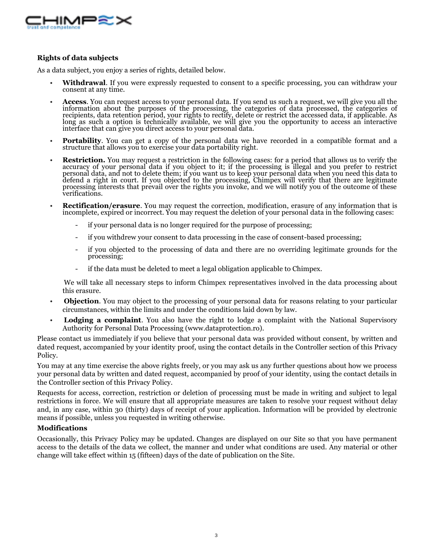

## **Rights of data subjects**

As a data subject, you enjoy a series of rights, detailed below.

- **Withdrawal**. If you were expressly requested to consent to a specific processing, you can withdraw your consent at any time.
- **Access**. You can request access to your personal data. If you send us such a request, we will give you all the information about the purposes of the processing, the categories of data processed, the categories of recipients, data retention period, your rights to rectify, delete or restrict the accessed data, if applicable. As long as such a option is technically available, we will give you the opportunity to access an interactive interface that can give you direct access to your personal data.
- **Portability**. You can get a copy of the personal data we have recorded in a compatible format and a structure that allows you to exercise your data portability right.
- **Restriction.** You may request a restriction in the following cases: for a period that allows us to verify the accuracy of your personal data if you object to it; if the processing is illegal and you prefer to restrict personal data, and not to delete them; if you want us to keep your personal data when you need this data to defend a right in court. If you objected to the processing, Chimpex will verify that there are legitimate processing interests that prevail over the rights you invoke, and we will notify you of the outcome of these verifications.
- **Rectification/erasure**. You may request the correction, modification, erasure of any information that is incomplete, expired or incorrect. You may request the deletion of your personal data in the following cases:
	- if your personal data is no longer required for the purpose of processing;
	- if you withdrew your consent to data processing in the case of consent-based processing;
	- if you objected to the processing of data and there are no overriding legitimate grounds for the processing;
	- if the data must be deleted to meet a legal obligation applicable to Chimpex.

We will take all necessary steps to inform Chimpex representatives involved in the data processing about this erasure.

- **Objection**. You may object to the processing of your personal data for reasons relating to your particular circumstances, within the limits and under the conditions laid down by law.
- **Lodging a complaint**. You also have the right to lodge a complaint with the National Supervisory Authority for Personal Data Processing (www.dataprotection.ro).

Please contact us immediately if you believe that your personal data was provided without consent, by written and dated request, accompanied by your identity proof, using the contact details in the Controller section of this Privacy Policy.

You may at any time exercise the above rights freely, or you may ask us any further questions about how we process your personal data by written and dated request, accompanied by proof of your identity, using the contact details in the Controller section of this Privacy Policy.

Requests for access, correction, restriction or deletion of processing must be made in writing and subject to legal restrictions in force. We will ensure that all appropriate measures are taken to resolve your request without delay and, in any case, within 30 (thirty) days of receipt of your application. Information will be provided by electronic means if possible, unless you requested in writing otherwise.

## **Modifications**

Occasionally, this Privacy Policy may be updated. Changes are displayed on our Site so that you have permanent access to the details of the data we collect, the manner and under what conditions are used. Any material or other change will take effect within 15 (fifteen) days of the date of publication on the Site.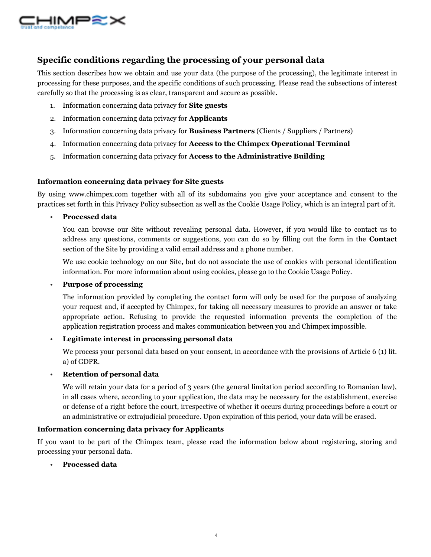

# **Specific conditions regarding the processing of your personal data**

This section describes how we obtain and use your data (the purpose of the processing), the legitimate interest in processing for these purposes, and the specific conditions of such processing. Please read the subsections of interest carefully so that the processing is as clear, transparent and secure as possible.

- 1. Information concerning data privacy for **Site guests**
- 2. Information concerning data privacy for **Applicants**
- 3. Information concerning data privacy for **Business Partners** (Clients / Suppliers / Partners)
- 4. Information concerning data privacy for **Access to the Chimpex Operational Terminal**
- 5. Information concerning data privacy for **Access to the Administrative Building**

## **Information concerning data privacy for Site guests**

By using www.chimpex.com together with all of its subdomains you give your acceptance and consent to the practices set forth in this Privacy Policy subsection as well as the Cookie Usage Policy, which is an integral part of it.

• **Processed data**

You can browse our Site without revealing personal data. However, if you would like to contact us to address any questions, comments or suggestions, you can do so by filling out the form in the **Contact**  section of the Site by providing a valid email address and a phone number.

We use cookie technology on our Site, but do not associate the use of cookies with personal identification information. For more information about using cookies, please go to the Cookie Usage Policy.

## • **Purpose of processing**

The information provided by completing the contact form will only be used for the purpose of analyzing your request and, if accepted by Chimpex, for taking all necessary measures to provide an answer or take appropriate action. Refusing to provide the requested information prevents the completion of the application registration process and makes communication between you and Chimpex impossible.

## • **Legitimate interest in processing personal data**

We process your personal data based on your consent, in accordance with the provisions of Article 6 (1) lit. a) of GDPR.

## • **Retention of personal data**

We will retain your data for a period of 3 years (the general limitation period according to Romanian law), in all cases where, according to your application, the data may be necessary for the establishment, exercise or defense of a right before the court, irrespective of whether it occurs during proceedings before a court or an administrative or extrajudicial procedure. Upon expiration of this period, your data will be erased.

## **Information concerning data privacy for Applicants**

If you want to be part of the Chimpex team, please read the information below about registering, storing and processing your personal data.

• **Processed data**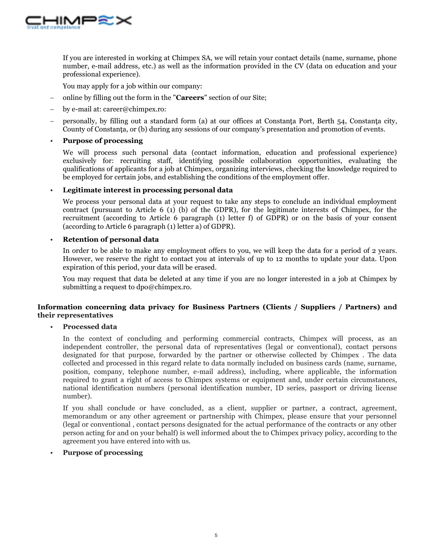

If you are interested in working at Chimpex SA, we will retain your contact details (name, surname, phone number, e-mail address, etc.) as well as the information provided in the CV (data on education and your professional experience).

You may apply for a job within our company:

- online by filling out the form in the "**Careers**" section of our Site;
- by e-mail at: career@chimpex.ro:
- personally, by filling out a standard form (a) at our offices at Constanta Port, Berth 54, Constanta city, County of Constanta, or (b) during any sessions of our company's presentation and promotion of events.

### • **Purpose of processing**

We will process such personal data (contact information, education and professional experience) exclusively for: recruiting staff, identifying possible collaboration opportunities, evaluating the qualifications of applicants for a job at Chimpex, organizing interviews, checking the knowledge required to be employed for certain jobs, and establishing the conditions of the employment offer.

#### • **Legitimate interest in processing personal data**

We process your personal data at your request to take any steps to conclude an individual employment contract (pursuant to Article 6 (1) (b) of the GDPR), for the legitimate interests of Chimpex, for the recruitment (according to Article 6 paragraph (1) letter f) of GDPR) or on the basis of your consent (according to Article 6 paragraph (1) letter a) of GDPR).

## • **Retention of personal data**

In order to be able to make any employment offers to you, we will keep the data for a period of 2 years. However, we reserve the right to contact you at intervals of up to 12 months to update your data. Upon expiration of this period, your data will be erased.

You may request that data be deleted at any time if you are no longer interested in a job at Chimpex by submitting a request to dpo@chimpex.ro.

## **Information concerning data privacy for Business Partners (Clients / Suppliers / Partners) and their representatives**

#### • **Processed data**

In the context of concluding and performing commercial contracts, Chimpex will process, as an independent controller, the personal data of representatives (legal or conventional), contact persons designated for that purpose, forwarded by the partner or otherwise collected by Chimpex . The data collected and processed in this regard relate to data normally included on business cards (name, surname, position, company, telephone number, e-mail address), including, where applicable, the information required to grant a right of access to Chimpex systems or equipment and, under certain circumstances, national identification numbers (personal identification number, ID series, passport or driving license number).

If you shall conclude or have concluded, as a client, supplier or partner, a contract, agreement, memorandum or any other agreement or partnership with Chimpex, please ensure that your personnel (legal or conventional , contact persons designated for the actual performance of the contracts or any other person acting for and on your behalf) is well informed about the to Chimpex privacy policy, according to the agreement you have entered into with us.

### • **Purpose of processing**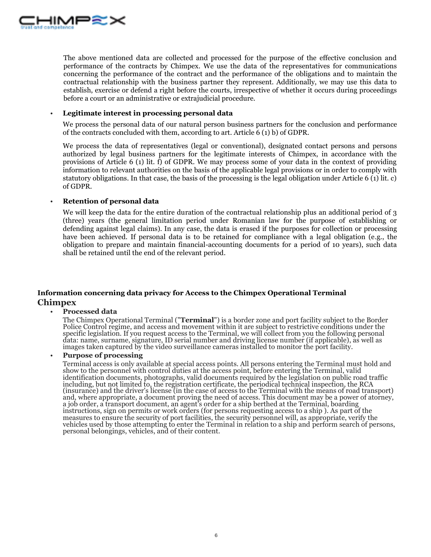

The above mentioned data are collected and processed for the purpose of the effective conclusion and performance of the contracts by Chimpex. We use the data of the representatives for communications concerning the performance of the contract and the performance of the obligations and to maintain the contractual relationship with the business partner they represent. Additionally, we may use this data to establish, exercise or defend a right before the courts, irrespective of whether it occurs during proceedings before a court or an administrative or extrajudicial procedure.

#### • **Legitimate interest in processing personal data**

We process the personal data of our natural person business partners for the conclusion and performance of the contracts concluded with them, according to art. Article 6 (1) b) of GDPR.

We process the data of representatives (legal or conventional), designated contact persons and persons authorized by legal business partners for the legitimate interests of Chimpex, in accordance with the provisions of Article 6 (1) lit. f) of GDPR. We may process some of your data in the context of providing information to relevant authorities on the basis of the applicable legal provisions or in order to comply with statutory obligations. In that case, the basis of the processing is the legal obligation under Article 6 (1) lit. c) of GDPR.

## • **Retention of personal data**

We will keep the data for the entire duration of the contractual relationship plus an additional period of 3 (three) years (the general limitation period under Romanian law for the purpose of establishing or defending against legal claims). In any case, the data is erased if the purposes for collection or processing have been achieved. If personal data is to be retained for compliance with a legal obligation (e.g., the obligation to prepare and maintain financial-accounting documents for a period of 10 years), such data shall be retained until the end of the relevant period.

## **Information concerning data privacy for Access to the Chimpex Operational Terminal Chimpex**

#### • **Processed data**

The Chimpex Operational Terminal ("**Terminal**") is a border zone and port facility subject to the Border Police Control regime, and access and movement within it are subject to restrictive conditions under the specific legislation. If you request access to the Terminal, we will collect from you the following personal data: name, surname, signature, ID serial number and driving license number (if applicable), as well as images taken captured by the video surveillance cameras installed to monitor the port facility.

## • **Purpose of processing**

Terminal access is only available at special access points. All persons entering the Terminal must hold and show to the personnel with control duties at the access point, before entering the Terminal, valid identification documents, photographs, valid documents required by the legislation on public road traffic including, but not limited to, the registration certificate, the periodical technical inspection, the RCA (insurance) and the driver's license (in the case of access to the Terminal with the means of road transport) and, where appropriate, a document proving the need of access. This document may be a power of atorney, a job order, a transport document, an agent's order for a ship berthed at the Terminal, boarding instructions, sign on permits or work orders (for persons requesting access to a ship ). As part of the measures to ensure the security of port facilities, the security personnel will, as appropriate, verify the vehicles used by those attempting to enter the Terminal in relation to a ship and perform search of persons, personal belongings, vehicles, and of their content.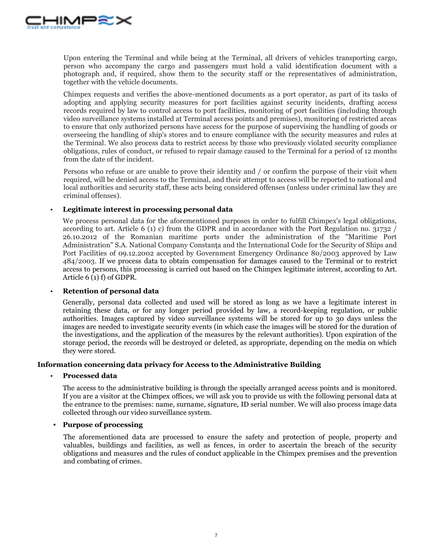

Upon entering the Terminal and while being at the Terminal, all drivers of vehicles transporting cargo, person who accompany the cargo and passengers must hold a valid identification document with a photograph and, if required, show them to the security staff or the representatives of administration, together with the vehicle documents.

Chimpex requests and verifies the above-mentioned documents as a port operator, as part of its tasks of adopting and applying security measures for port facilities against security incidents, drafting access records required by law to control access to port facilities, monitoring of port facilities (including through video surveillance systems installed at Terminal access points and premises), monitoring of restricted areas to ensure that only authorized persons have access for the purpose of supervising the handling of goods or overseeing the handling of ship's stores and to ensure compliance with the security measures and rules at the Terminal. We also process data to restrict access by those who previously violated security compliance obligations, rules of conduct, or refused to repair damage caused to the Terminal for a period of 12 months from the date of the incident.

Persons who refuse or are unable to prove their identity and / or confirm the purpose of their visit when required, will be denied access to the Terminal, and their attempt to access will be reported to national and local authorities and security staff, these acts being considered offenses (unless under criminal law they are criminal offenses).

## • **Legitimate interest in processing personal data**

We process personal data for the aforementioned purposes in order to fulfill Chimpex's legal obligations, according to art. Article 6 (1) c) from the GDPR and in accordance with the Port Regulation no. 31732 / 26.10.2012 of the Romanian maritime ports under the administration of the "Maritime Port Administration" S.A. National Company Constanta and the International Code for the Security of Ships and Port Facilities of 09.12.2002 accepted by Government Emergency Ordinance 80/2003 approved by Law 484/2003. If we process data to obtain compensation for damages caused to the Terminal or to restrict access to persons, this processing is carried out based on the Chimpex legitimate interest, according to Art. Article 6 (1) f) of GDPR.

#### • **Retention of personal data**

Generally, personal data collected and used will be stored as long as we have a legitimate interest in retaining these data, or for any longer period provided by law, a record-keeping regulation, or public authorities. Images captured by video surveillance systems will be stored for up to 30 days unless the images are needed to investigate security events (in which case the images will be stored for the duration of the investigations, and the application of the measures by the relevant authorities). Upon expiration of the storage period, the records will be destroyed or deleted, as appropriate, depending on the media on which they were stored.

#### **Information concerning data privacy for Access to the Administrative Building**

#### • **Processed data**

The access to the administrative building is through the specially arranged access points and is monitored. If you are a visitor at the Chimpex offices, we will ask you to provide us with the following personal data at the entrance to the premises: name, surname, signature, ID serial number. We will also process image data collected through our video surveillance system.

## **• Purpose of processing**

The aforementioned data are processed to ensure the safety and protection of people, property and valuables, buildings and facilities, as well as fences, in order to ascertain the breach of the security obligations and measures and the rules of conduct applicable in the Chimpex premises and the prevention and combating of crimes.